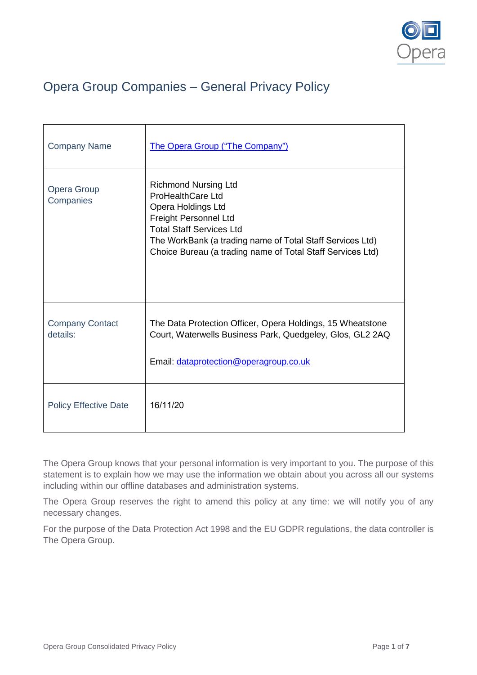

# Opera Group Companies – General Privacy Policy

| <b>Company Name</b>                | The Opera Group ("The Company")                                                                                                                                                                                                                                      |
|------------------------------------|----------------------------------------------------------------------------------------------------------------------------------------------------------------------------------------------------------------------------------------------------------------------|
| <b>Opera Group</b><br>Companies    | <b>Richmond Nursing Ltd</b><br><b>ProHealthCare Ltd</b><br>Opera Holdings Ltd<br>Freight Personnel Ltd<br><b>Total Staff Services Ltd</b><br>The WorkBank (a trading name of Total Staff Services Ltd)<br>Choice Bureau (a trading name of Total Staff Services Ltd) |
| <b>Company Contact</b><br>details: | The Data Protection Officer, Opera Holdings, 15 Wheatstone<br>Court, Waterwells Business Park, Quedgeley, Glos, GL2 2AQ<br>Email: dataprotection@operagroup.co.uk                                                                                                    |
| <b>Policy Effective Date</b>       | 16/11/20                                                                                                                                                                                                                                                             |

The Opera Group knows that your personal information is very important to you. The purpose of this statement is to explain how we may use the information we obtain about you across all our systems including within our offline databases and administration systems.

The Opera Group reserves the right to amend this policy at any time: we will notify you of any necessary changes.

For the purpose of the Data Protection Act 1998 and the EU GDPR regulations, the data controller is The Opera Group.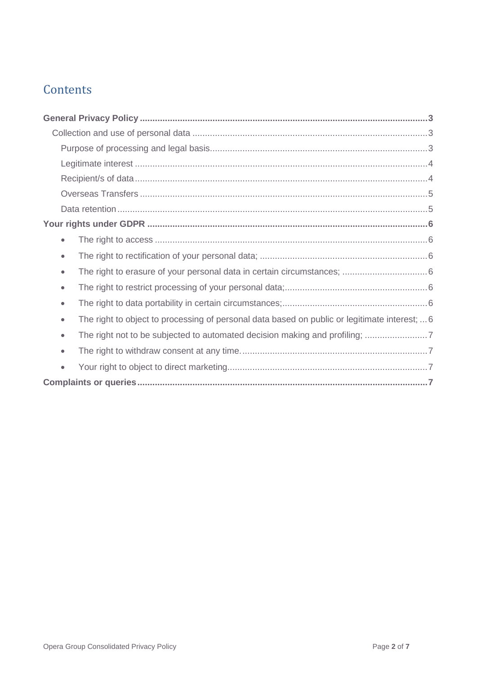## **Contents**

| $\bullet$                                                                                     |  |
|-----------------------------------------------------------------------------------------------|--|
| $\bullet$                                                                                     |  |
| $\bullet$                                                                                     |  |
| $\bullet$                                                                                     |  |
| $\bullet$                                                                                     |  |
| The right to object to processing of personal data based on public or legitimate interest;  6 |  |
| $\bullet$                                                                                     |  |
| $\bullet$                                                                                     |  |
|                                                                                               |  |
|                                                                                               |  |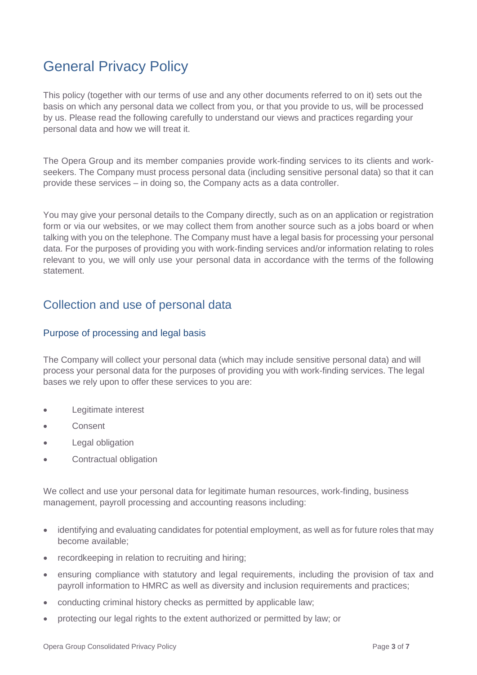# <span id="page-2-0"></span>General Privacy Policy

This policy (together with our terms of use and any other documents referred to on it) sets out the basis on which any personal data we collect from you, or that you provide to us, will be processed by us. Please read the following carefully to understand our views and practices regarding your personal data and how we will treat it.

The Opera Group and its member companies provide work-finding services to its clients and workseekers. The Company must process personal data (including sensitive personal data) so that it can provide these services – in doing so, the Company acts as a data controller.

You may give your personal details to the Company directly, such as on an application or registration form or via our websites, or we may collect them from another source such as a jobs board or when talking with you on the telephone. The Company must have a legal basis for processing your personal data. For the purposes of providing you with work-finding services and/or information relating to roles relevant to you, we will only use your personal data in accordance with the terms of the following statement.

### <span id="page-2-1"></span>Collection and use of personal data

#### <span id="page-2-2"></span>Purpose of processing and legal basis

The Company will collect your personal data (which may include sensitive personal data) and will process your personal data for the purposes of providing you with work-finding services. The legal bases we rely upon to offer these services to you are:

- Legitimate interest
- Consent
- **Legal obligation**
- Contractual obligation

We collect and use your personal data for legitimate human resources, work-finding, business management, payroll processing and accounting reasons including:

- identifying and evaluating candidates for potential employment, as well as for future roles that may become available;
- recordkeeping in relation to recruiting and hiring;
- ensuring compliance with statutory and legal requirements, including the provision of tax and payroll information to HMRC as well as diversity and inclusion requirements and practices;
- conducting criminal history checks as permitted by applicable law;
- protecting our legal rights to the extent authorized or permitted by law; or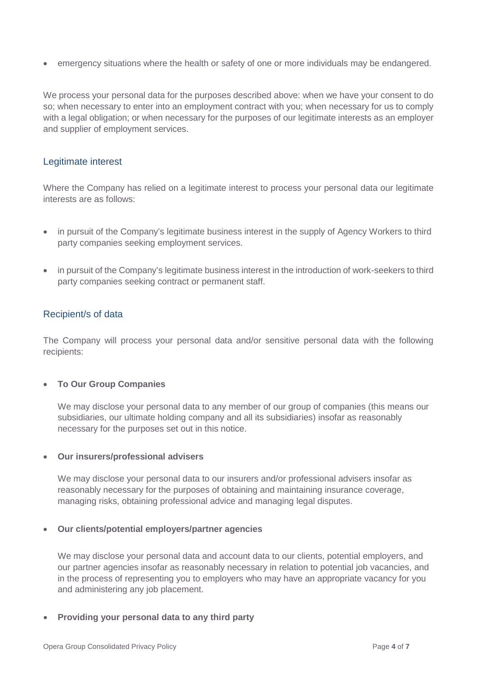• emergency situations where the health or safety of one or more individuals may be endangered.

We process your personal data for the purposes described above: when we have your consent to do so; when necessary to enter into an employment contract with you; when necessary for us to comply with a legal obligation; or when necessary for the purposes of our legitimate interests as an employer and supplier of employment services.

#### <span id="page-3-0"></span>Legitimate interest

Where the Company has relied on a legitimate interest to process your personal data our legitimate interests are as follows:

- in pursuit of the Company's legitimate business interest in the supply of Agency Workers to third party companies seeking employment services.
- in pursuit of the Company's legitimate business interest in the introduction of work-seekers to third party companies seeking contract or permanent staff.

#### <span id="page-3-1"></span>Recipient/s of data

The Company will process your personal data and/or sensitive personal data with the following recipients:

#### • **To Our Group Companies**

We may disclose your personal data to any member of our group of companies (this means our subsidiaries, our ultimate holding company and all its subsidiaries) insofar as reasonably necessary for the purposes set out in this notice.

#### • **Our insurers/professional advisers**

We may disclose your personal data to our insurers and/or professional advisers insofar as reasonably necessary for the purposes of obtaining and maintaining insurance coverage, managing risks, obtaining professional advice and managing legal disputes.

#### • **Our clients/potential employers/partner agencies**

We may disclose your personal data and account data to our clients, potential employers, and our partner agencies insofar as reasonably necessary in relation to potential job vacancies, and in the process of representing you to employers who may have an appropriate vacancy for you and administering any job placement.

• **Providing your personal data to any third party**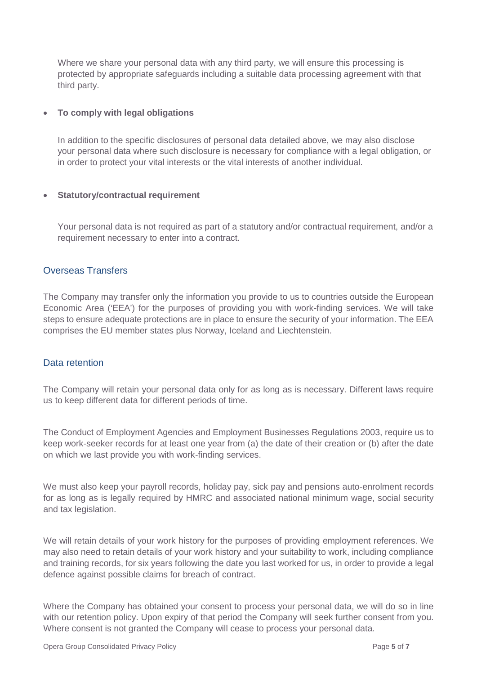Where we share your personal data with any third party, we will ensure this processing is protected by appropriate safeguards including a suitable data processing agreement with that third party.

#### • **To comply with legal obligations**

In addition to the specific disclosures of personal data detailed above, we may also disclose your personal data where such disclosure is necessary for compliance with a legal obligation, or in order to protect your vital interests or the vital interests of another individual.

#### • **Statutory/contractual requirement**

Your personal data is not required as part of a statutory and/or contractual requirement, and/or a requirement necessary to enter into a contract.

#### <span id="page-4-0"></span>Overseas Transfers

The Company may transfer only the information you provide to us to countries outside the European Economic Area ('EEA') for the purposes of providing you with work-finding services. We will take steps to ensure adequate protections are in place to ensure the security of your information. The EEA comprises the EU member states plus Norway, Iceland and Liechtenstein.

#### <span id="page-4-1"></span>Data retention

The Company will retain your personal data only for as long as is necessary. Different laws require us to keep different data for different periods of time.

The Conduct of Employment Agencies and Employment Businesses Regulations 2003, require us to keep work-seeker records for at least one year from (a) the date of their creation or (b) after the date on which we last provide you with work-finding services.

We must also keep your payroll records, holiday pay, sick pay and pensions auto-enrolment records for as long as is legally required by HMRC and associated national minimum wage, social security and tax legislation.

We will retain details of your work history for the purposes of providing employment references. We may also need to retain details of your work history and your suitability to work, including compliance and training records, for six years following the date you last worked for us, in order to provide a legal defence against possible claims for breach of contract.

Where the Company has obtained your consent to process your personal data, we will do so in line with our retention policy. Upon expiry of that period the Company will seek further consent from you. Where consent is not granted the Company will cease to process your personal data.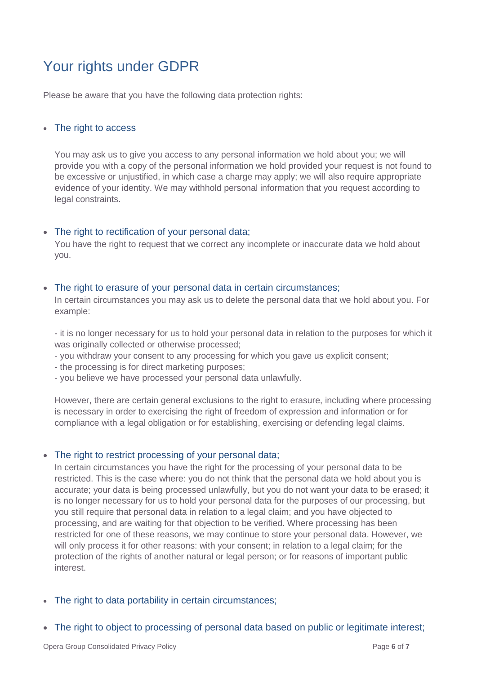# <span id="page-5-0"></span>Your rights under GDPR

Please be aware that you have the following data protection rights:

#### <span id="page-5-1"></span>• The right to access

You may ask us to give you access to any personal information we hold about you; we will provide you with a copy of the personal information we hold provided your request is not found to be excessive or unjustified, in which case a charge may apply; we will also require appropriate evidence of your identity. We may withhold personal information that you request according to legal constraints.

#### <span id="page-5-2"></span>• The right to rectification of your personal data;

You have the right to request that we correct any incomplete or inaccurate data we hold about you.

#### <span id="page-5-3"></span>• The right to erasure of your personal data in certain circumstances;

In certain circumstances you may ask us to delete the personal data that we hold about you. For example:

- it is no longer necessary for us to hold your personal data in relation to the purposes for which it was originally collected or otherwise processed;

- you withdraw your consent to any processing for which you gave us explicit consent;
- the processing is for direct marketing purposes;
- you believe we have processed your personal data unlawfully.

However, there are certain general exclusions to the right to erasure, including where processing is necessary in order to exercising the right of freedom of expression and information or for compliance with a legal obligation or for establishing, exercising or defending legal claims.

#### <span id="page-5-4"></span>• The right to restrict processing of your personal data;

In certain circumstances you have the right for the processing of your personal data to be restricted. This is the case where: you do not think that the personal data we hold about you is accurate; your data is being processed unlawfully, but you do not want your data to be erased; it is no longer necessary for us to hold your personal data for the purposes of our processing, but you still require that personal data in relation to a legal claim; and you have objected to processing, and are waiting for that objection to be verified. Where processing has been restricted for one of these reasons, we may continue to store your personal data. However, we will only process it for other reasons: with your consent; in relation to a legal claim; for the protection of the rights of another natural or legal person; or for reasons of important public interest.

- <span id="page-5-5"></span>• The right to data portability in certain circumstances;
- <span id="page-5-6"></span>• The right to object to processing of personal data based on public or legitimate interest: